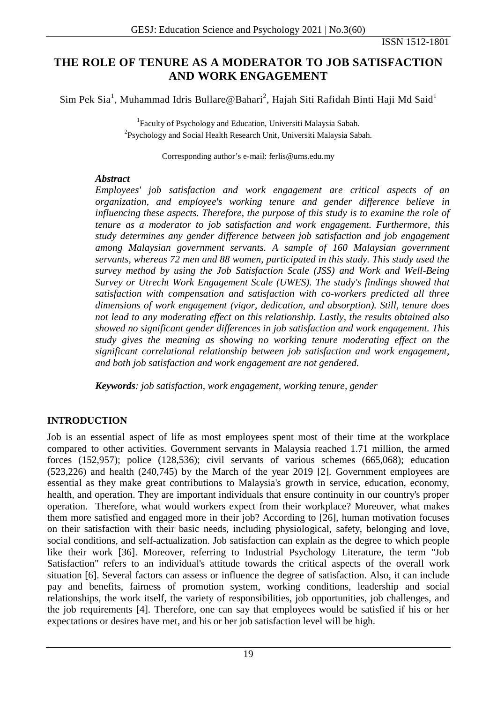## **THE ROLE OF TENURE AS A MODERATOR TO JOB SATISFACTION AND WORK ENGAGEMENT**

Sim Pek Sia<sup>1</sup>, Muhammad Idris Bullare@Bahari<sup>2</sup>, Hajah Siti Rafidah Binti Haji Md Said<sup>1</sup>

<sup>1</sup>Faculty of Psychology and Education, Universiti Malaysia Sabah.  $^{2}$ Psychology and Social Health Research Unit, Universiti Malaysia Sabah.

Corresponding author's e-mail: ferlis@ums.edu.my

## *Abstract*

*Employees' job satisfaction and work engagement are critical aspects of an organization, and employee's working tenure and gender difference believe in influencing these aspects. Therefore, the purpose of this study is to examine the role of tenure as a moderator to job satisfaction and work engagement. Furthermore, this study determines any gender difference between job satisfaction and job engagement among Malaysian government servants. A sample of 160 Malaysian government servants, whereas 72 men and 88 women, participated in this study. This study used the survey method by using the Job Satisfaction Scale (JSS) and Work and Well-Being Survey or Utrecht Work Engagement Scale (UWES). The study's findings showed that satisfaction with compensation and satisfaction with co-workers predicted all three dimensions of work engagement (vigor, dedication, and absorption). Still, tenure does not lead to any moderating effect on this relationship. Lastly, the results obtained also showed no significant gender differences in job satisfaction and work engagement. This study gives the meaning as showing no working tenure moderating effect on the significant correlational relationship between job satisfaction and work engagement, and both job satisfaction and work engagement are not gendered.*

*Keywords: job satisfaction, work engagement, working tenure, gender*

## **INTRODUCTION**

Job is an essential aspect of life as most employees spent most of their time at the workplace compared to other activities. Government servants in Malaysia reached 1.71 million, the armed forces (152,957); police (128,536); civil servants of various schemes (665,068); education (523,226) and health (240,745) by the March of the year 2019 [2]. Government employees are essential as they make great contributions to Malaysia's growth in service, education, economy, health, and operation. They are important individuals that ensure continuity in our country's proper operation. Therefore, what would workers expect from their workplace? Moreover, what makes them more satisfied and engaged more in their job? According to [26], human motivation focuses on their satisfaction with their basic needs, including physiological, safety, belonging and love, social conditions, and self-actualization. Job satisfaction can explain as the degree to which people like their work [36]. Moreover, referring to Industrial Psychology Literature, the term "Job Satisfaction" refers to an individual's attitude towards the critical aspects of the overall work situation [6]. Several factors can assess or influence the degree of satisfaction. Also, it can include pay and benefits, fairness of promotion system, working conditions, leadership and social relationships, the work itself, the variety of responsibilities, job opportunities, job challenges, and the job requirements [4]. Therefore, one can say that employees would be satisfied if his or her expectations or desires have met, and his or her job satisfaction level will be high.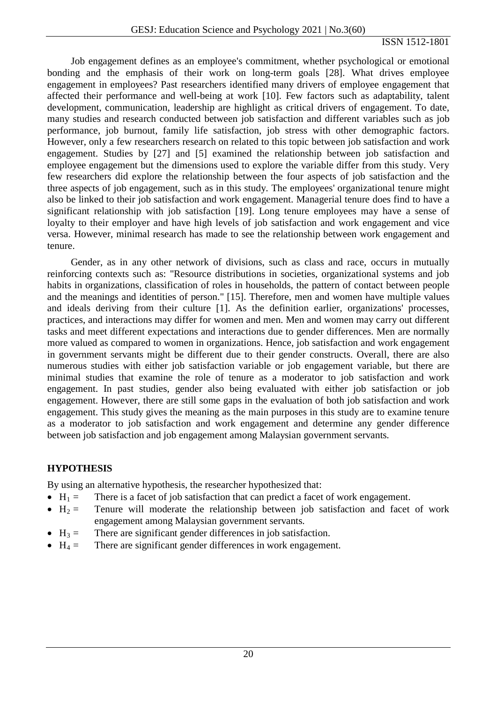Job engagement defines as an employee's commitment, whether psychological or emotional bonding and the emphasis of their work on long-term goals [28]. What drives employee engagement in employees? Past researchers identified many drivers of employee engagement that affected their performance and well-being at work [10]. Few factors such as adaptability, talent development, communication, leadership are highlight as critical drivers of engagement. To date, many studies and research conducted between job satisfaction and different variables such as job performance, job burnout, family life satisfaction, job stress with other demographic factors. However, only a few researchers research on related to this topic between job satisfaction and work engagement. Studies by [27] and [5] examined the relationship between job satisfaction and employee engagement but the dimensions used to explore the variable differ from this study. Very few researchers did explore the relationship between the four aspects of job satisfaction and the three aspects of job engagement, such as in this study. The employees' organizational tenure might also be linked to their job satisfaction and work engagement. Managerial tenure does find to have a significant relationship with job satisfaction [19]. Long tenure employees may have a sense of loyalty to their employer and have high levels of job satisfaction and work engagement and vice versa. However, minimal research has made to see the relationship between work engagement and tenure.

Gender, as in any other network of divisions, such as class and race, occurs in mutually reinforcing contexts such as: "Resource distributions in societies, organizational systems and job habits in organizations, classification of roles in households, the pattern of contact between people and the meanings and identities of person." [15]. Therefore, men and women have multiple values and ideals deriving from their culture [1]. As the definition earlier, organizations' processes, practices, and interactions may differ for women and men. Men and women may carry out different tasks and meet different expectations and interactions due to gender differences. Men are normally more valued as compared to women in organizations. Hence, job satisfaction and work engagement in government servants might be different due to their gender constructs. Overall, there are also numerous studies with either job satisfaction variable or job engagement variable, but there are minimal studies that examine the role of tenure as a moderator to job satisfaction and work engagement. In past studies, gender also being evaluated with either job satisfaction or job engagement. However, there are still some gaps in the evaluation of both job satisfaction and work engagement. This study gives the meaning as the main purposes in this study are to examine tenure as a moderator to job satisfaction and work engagement and determine any gender difference between job satisfaction and job engagement among Malaysian government servants.

## **HYPOTHESIS**

By using an alternative hypothesis, the researcher hypothesized that:

- $H_1 =$  There is a facet of job satisfaction that can predict a facet of work engagement.
- $H_2$  = Tenure will moderate the relationship between job satisfaction and facet of work engagement among Malaysian government servants.
- $H_3 =$  There are significant gender differences in job satisfaction.
- $H_4 =$  There are significant gender differences in work engagement.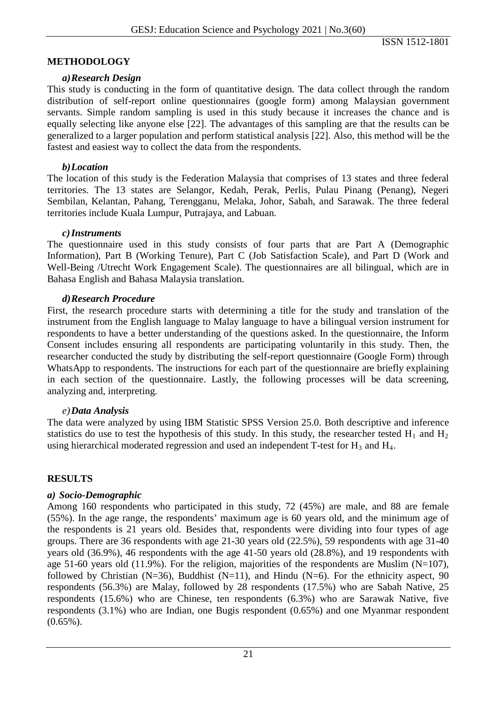## **METHODOLOGY**

#### *a)Research Design*

This study is conducting in the form of quantitative design. The data collect through the random distribution of self-report online questionnaires (google form) among Malaysian government servants. Simple random sampling is used in this study because it increases the chance and is equally selecting like anyone else [22]. The advantages of this sampling are that the results can be generalized to a larger population and perform statistical analysis [22]. Also, this method will be the fastest and easiest way to collect the data from the respondents.

### *b)Location*

The location of this study is the Federation Malaysia that comprises of 13 states and three federal territories. The 13 states are Selangor, Kedah, Perak, Perlis, Pulau Pinang (Penang), Negeri Sembilan, Kelantan, Pahang, Terengganu, Melaka, Johor, Sabah, and Sarawak. The three federal territories include Kuala Lumpur, Putrajaya, and Labuan.

#### *c)Instruments*

The questionnaire used in this study consists of four parts that are Part A (Demographic Information), Part B (Working Tenure), Part C (Job Satisfaction Scale), and Part D (Work and Well-Being /Utrecht Work Engagement Scale). The questionnaires are all bilingual, which are in Bahasa English and Bahasa Malaysia translation.

#### *d)Research Procedure*

First, the research procedure starts with determining a title for the study and translation of the instrument from the English language to Malay language to have a bilingual version instrument for respondents to have a better understanding of the questions asked. In the questionnaire, the Inform Consent includes ensuring all respondents are participating voluntarily in this study. Then, the researcher conducted the study by distributing the self-report questionnaire (Google Form) through WhatsApp to respondents. The instructions for each part of the questionnaire are briefly explaining in each section of the questionnaire. Lastly, the following processes will be data screening, analyzing and, interpreting.

#### *e)Data Analysis*

The data were analyzed by using IBM Statistic SPSS Version 25.0. Both descriptive and inference statistics do use to test the hypothesis of this study. In this study, the researcher tested  $H_1$  and  $H_2$ using hierarchical moderated regression and used an independent  $T$ -test for  $H_3$  and  $H_4$ .

#### **RESULTS**

#### *a) Socio-Demographic*

Among 160 respondents who participated in this study, 72 (45%) are male, and 88 are female (55%). In the age range, the respondents' maximum age is 60 years old, and the minimum age of the respondents is 21 years old. Besides that, respondents were dividing into four types of age groups. There are 36 respondents with age 21-30 years old (22.5%), 59 respondents with age 31-40 years old (36.9%), 46 respondents with the age 41-50 years old (28.8%), and 19 respondents with age 51-60 years old (11.9%). For the religion, majorities of the respondents are Muslim (N=107). followed by Christian (N=36), Buddhist (N=11), and Hindu (N=6). For the ethnicity aspect, 90 respondents (56.3%) are Malay, followed by 28 respondents (17.5%) who are Sabah Native, 25 respondents (15.6%) who are Chinese, ten respondents (6.3%) who are Sarawak Native, five respondents (3.1%) who are Indian, one Bugis respondent (0.65%) and one Myanmar respondent  $(0.65\%)$ .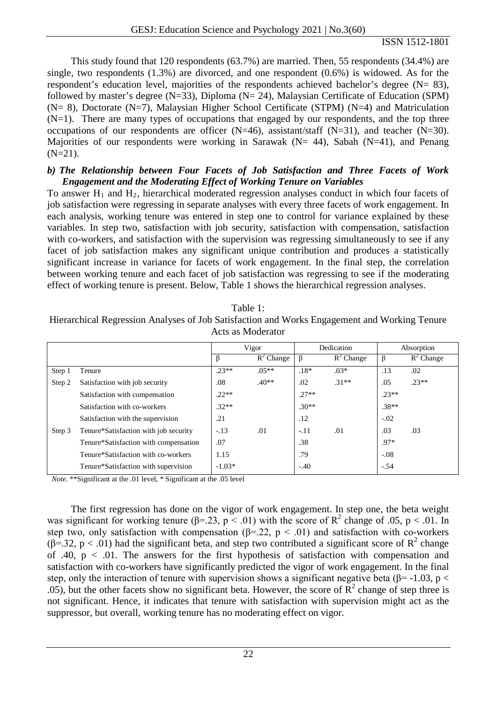This study found that 120 respondents (63.7%) are married. Then, 55 respondents (34.4%) are single, two respondents (1.3%) are divorced, and one respondent (0.6%) is widowed. As for the respondent's education level, majorities of the respondents achieved bachelor's degree (N= 83), followed by master's degree (N=33), Diploma (N= 24), Malaysian Certificate of Education (SPM)  $(N= 8)$ , Doctorate  $(N=7)$ , Malaysian Higher School Certificate (STPM)  $(N=4)$  and Matriculation  $(N=1)$ . There are many types of occupations that engaged by our respondents, and the top three occupations of our respondents are officer  $(N=46)$ , assistant/staff  $(N=31)$ , and teacher  $(N=30)$ . Majorities of our respondents were working in Sarawak ( $N = 44$ ), Sabah ( $N = 41$ ), and Penang  $(N=21)$ .

#### *b) The Relationship between Four Facets of Job Satisfaction and Three Facets of Work Engagement and the Moderating Effect of Working Tenure on Variables*

To answer  $H_1$  and  $H_2$ , hierarchical moderated regression analyses conduct in which four facets of job satisfaction were regressing in separate analyses with every three facets of work engagement. In each analysis, working tenure was entered in step one to control for variance explained by these variables. In step two, satisfaction with job security, satisfaction with compensation, satisfaction with co-workers, and satisfaction with the supervision was regressing simultaneously to see if any facet of job satisfaction makes any significant unique contribution and produces a statistically significant increase in variance for facets of work engagement. In the final step, the correlation between working tenure and each facet of job satisfaction was regressing to see if the moderating effect of working tenure is present. Below, Table 1 shows the hierarchical regression analyses.

| Table 1:                                                                                     |  |  |  |  |  |  |
|----------------------------------------------------------------------------------------------|--|--|--|--|--|--|
| Hierarchical Regression Analyses of Job Satisfaction and Works Engagement and Working Tenure |  |  |  |  |  |  |
| Acts as Moderator                                                                            |  |  |  |  |  |  |

|        |                                       | Vigor    |              | Dedication |              | Absorption |              |
|--------|---------------------------------------|----------|--------------|------------|--------------|------------|--------------|
|        |                                       |          | $R^2$ Change | $\beta$    | $R^2$ Change |            | $R^2$ Change |
| Step 1 | Tenure                                | $.23**$  | $.05**$      | $.18*$     | $.03*$       | .13        | .02          |
| Step 2 | Satisfaction with job security        | .08      | $.40**$      | .02        | $.31**$      | .05        | $.23**$      |
|        | Satisfaction with compensation        | $22**$   |              | $.27**$    |              | $.23**$    |              |
|        | Satisfaction with co-workers          | $.32**$  |              | $.30**$    |              | $.38**$    |              |
|        | Satisfaction with the supervision     | .21      |              | .12        |              | $-.02$     |              |
| Step 3 | Tenure*Satisfaction with job security | $-.13$   | .01          | $-.11$     | .01          | .03        | .03          |
|        | Tenure*Satisfaction with compensation | .07      |              | .38        |              | $.97*$     |              |
|        | Tenure*Satisfaction with co-workers   | 1.15     |              | .79        |              | $-.08$     |              |
|        | Tenure*Satisfaction with supervision  | $-1.03*$ |              | $-.40$     |              | $-.54$     |              |

*Note*. \*\*Significant at the .01 level, \* Significant at the .05 level

The first regression has done on the vigor of work engagement. In step one, the beta weight was significant for working tenure ( $\beta$ =.23, p < .01) with the score of  $\mathbb{R}^2$  change of .05, p < .01. In step two, only satisfaction with compensation ( $\beta$ =.22, p < .01) and satisfaction with co-workers  $(\beta = 32, p < .01)$  had the significant beta, and step two contributed a significant score of  $\mathbb{R}^2$  change of .40,  $p < .01$ . The answers for the first hypothesis of satisfaction with compensation and satisfaction with co-workers have significantly predicted the vigor of work engagement. In the final step, only the interaction of tenure with supervision shows a significant negative beta ( $\beta$ = -1.03, p < .05), but the other facets show no significant beta. However, the score of  $R^2$  change of step three is not significant. Hence, it indicates that tenure with satisfaction with supervision might act as the suppressor, but overall, working tenure has no moderating effect on vigor.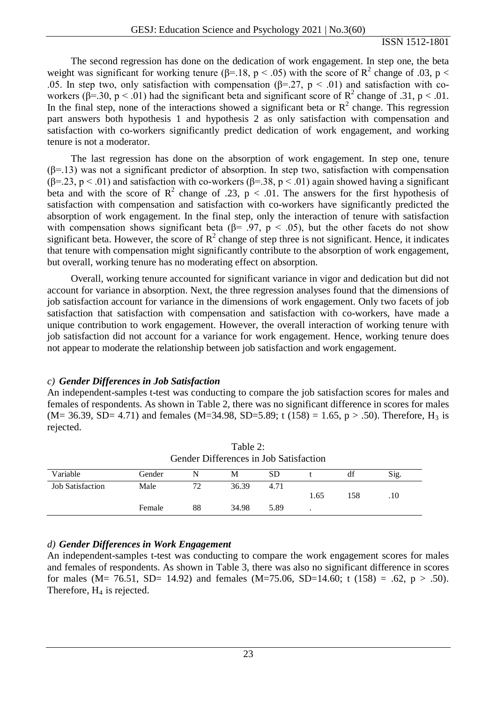The second regression has done on the dedication of work engagement. In step one, the beta weight was significant for working tenure ( $\beta$ =.18, p < .05) with the score of R<sup>2</sup> change of .03, p < .05. In step two, only satisfaction with compensation ( $\beta$ =.27, p < .01) and satisfaction with coworkers ( $\beta$ =.30,  $p$  < .01) had the significant beta and significant score of  $R^2$  change of .31, p < .01. In the final step, none of the interactions showed a significant beta or  $R^2$  change. This regression part answers both hypothesis 1 and hypothesis 2 as only satisfaction with compensation and satisfaction with co-workers significantly predict dedication of work engagement, and working tenure is not a moderator.

The last regression has done on the absorption of work engagement. In step one, tenure  $(\beta=13)$  was not a significant predictor of absorption. In step two, satisfaction with compensation ( $\beta$ =.23, p < .01) and satisfaction with co-workers ( $\beta$ =.38, p < .01) again showed having a significant beta and with the score of  $\mathbb{R}^2$  change of .23,  $p < .01$ . The answers for the first hypothesis of satisfaction with compensation and satisfaction with co-workers have significantly predicted the absorption of work engagement. In the final step, only the interaction of tenure with satisfaction with compensation shows significant beta ( $\beta$ = .97, p < .05), but the other facets do not show significant beta. However, the score of  $R^2$  change of step three is not significant. Hence, it indicates that tenure with compensation might significantly contribute to the absorption of work engagement, but overall, working tenure has no moderating effect on absorption.

Overall, working tenure accounted for significant variance in vigor and dedication but did not account for variance in absorption. Next, the three regression analyses found that the dimensions of job satisfaction account for variance in the dimensions of work engagement. Only two facets of job satisfaction that satisfaction with compensation and satisfaction with co-workers, have made a unique contribution to work engagement. However, the overall interaction of working tenure with job satisfaction did not account for a variance for work engagement. Hence, working tenure does not appear to moderate the relationship between job satisfaction and work engagement.

#### *c) Gender Differences in Job Satisfaction*

An independent-samples t-test was conducting to compare the job satisfaction scores for males and females of respondents. As shown in Table 2, there was no significant difference in scores for males  $(M= 36.39, SD= 4.71)$  and females  $(M=34.98, SD=5.89; t (158) = 1.65, p > .50)$ . Therefore, H<sub>3</sub> is rejected.

| Gender Differences in Job Satisfaction |        |    |       |      |      |     |      |
|----------------------------------------|--------|----|-------|------|------|-----|------|
| Variable                               | Gender | N  | М     | SD   |      | df  | Sig. |
| <b>Job Satisfaction</b>                | Male   | 72 | 36.39 | 4.71 |      |     |      |
|                                        |        |    |       |      | 1.65 | 158 | .10  |
|                                        | Female | 88 | 34.98 | 5.89 |      |     |      |

| Table 2:                               |
|----------------------------------------|
| Gender Differences in Job Satisfaction |

### *d) Gender Differences in Work Engagement*

An independent-samples t-test was conducting to compare the work engagement scores for males and females of respondents. As shown in Table 3, there was also no significant difference in scores for males (M= 76.51, SD= 14.92) and females (M=75.06, SD=14.60; t (158) = .62, p > .50). Therefore,  $H_4$  is rejected.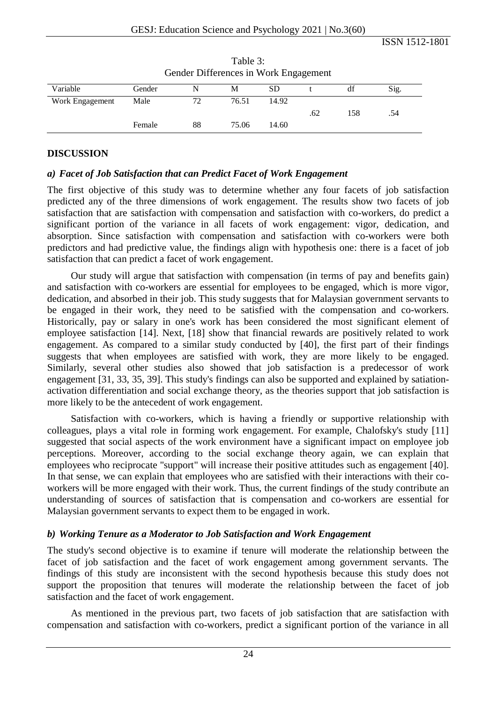|                 | Gender Differences in Work Engagement |    |       |       |     |     |      |  |
|-----------------|---------------------------------------|----|-------|-------|-----|-----|------|--|
| Variable        | Gender                                | N  | М     | SD    |     | df  | Sig. |  |
| Work Engagement | Male                                  |    | 76.51 | 14.92 |     |     |      |  |
|                 |                                       |    |       |       | .62 | 158 | .54  |  |
|                 | Female                                | 88 | 75.06 | 14.60 |     |     |      |  |

Table 3: Gender Differences in Work Engagement

## **DISCUSSION**

### *a) Facet of Job Satisfaction that can Predict Facet of Work Engagement*

The first objective of this study was to determine whether any four facets of job satisfaction predicted any of the three dimensions of work engagement. The results show two facets of job satisfaction that are satisfaction with compensation and satisfaction with co-workers, do predict a significant portion of the variance in all facets of work engagement: vigor, dedication, and absorption. Since satisfaction with compensation and satisfaction with co-workers were both predictors and had predictive value, the findings align with hypothesis one: there is a facet of job satisfaction that can predict a facet of work engagement.

Our study will argue that satisfaction with compensation (in terms of pay and benefits gain) and satisfaction with co-workers are essential for employees to be engaged, which is more vigor, dedication, and absorbed in their job. This study suggests that for Malaysian government servants to be engaged in their work, they need to be satisfied with the compensation and co-workers. Historically, pay or salary in one's work has been considered the most significant element of employee satisfaction [14]. Next, [18] show that financial rewards are positively related to work engagement. As compared to a similar study conducted by [40], the first part of their findings suggests that when employees are satisfied with work, they are more likely to be engaged. Similarly, several other studies also showed that job satisfaction is a predecessor of work engagement [31, 33, 35, 39]. This study's findings can also be supported and explained by satiationactivation differentiation and social exchange theory, as the theories support that job satisfaction is more likely to be the antecedent of work engagement.

Satisfaction with co-workers, which is having a friendly or supportive relationship with colleagues, plays a vital role in forming work engagement. For example, Chalofsky's study [11] suggested that social aspects of the work environment have a significant impact on employee job perceptions. Moreover, according to the social exchange theory again, we can explain that employees who reciprocate "support" will increase their positive attitudes such as engagement [40]. In that sense, we can explain that employees who are satisfied with their interactions with their coworkers will be more engaged with their work. Thus, the current findings of the study contribute an understanding of sources of satisfaction that is compensation and co-workers are essential for Malaysian government servants to expect them to be engaged in work.

#### *b) Working Tenure as a Moderator to Job Satisfaction and Work Engagement*

The study's second objective is to examine if tenure will moderate the relationship between the facet of job satisfaction and the facet of work engagement among government servants. The findings of this study are inconsistent with the second hypothesis because this study does not support the proposition that tenures will moderate the relationship between the facet of job satisfaction and the facet of work engagement.

As mentioned in the previous part, two facets of job satisfaction that are satisfaction with compensation and satisfaction with co-workers, predict a significant portion of the variance in all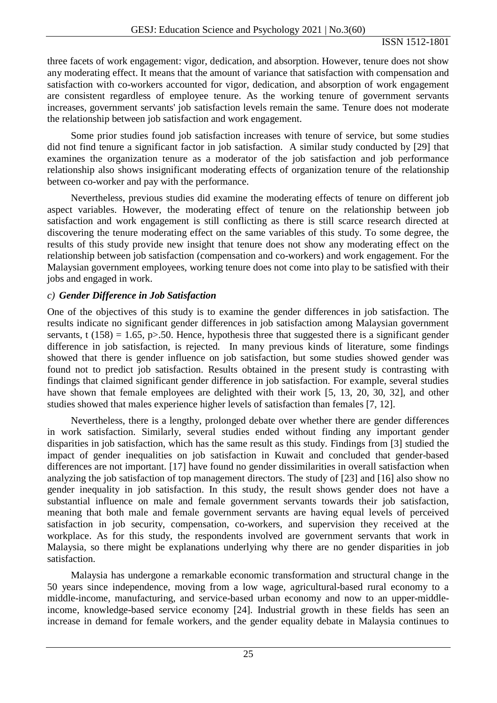three facets of work engagement: vigor, dedication, and absorption. However, tenure does not show any moderating effect. It means that the amount of variance that satisfaction with compensation and satisfaction with co-workers accounted for vigor, dedication, and absorption of work engagement are consistent regardless of employee tenure. As the working tenure of government servants increases, government servants' job satisfaction levels remain the same. Tenure does not moderate the relationship between job satisfaction and work engagement.

Some prior studies found job satisfaction increases with tenure of service, but some studies did not find tenure a significant factor in job satisfaction. A similar study conducted by [29] that examines the organization tenure as a moderator of the job satisfaction and job performance relationship also shows insignificant moderating effects of organization tenure of the relationship between co-worker and pay with the performance.

Nevertheless, previous studies did examine the moderating effects of tenure on different job aspect variables. However, the moderating effect of tenure on the relationship between job satisfaction and work engagement is still conflicting as there is still scarce research directed at discovering the tenure moderating effect on the same variables of this study. To some degree, the results of this study provide new insight that tenure does not show any moderating effect on the relationship between job satisfaction (compensation and co-workers) and work engagement. For the Malaysian government employees, working tenure does not come into play to be satisfied with their jobs and engaged in work.

## *c) Gender Difference in Job Satisfaction*

One of the objectives of this study is to examine the gender differences in job satisfaction. The results indicate no significant gender differences in job satisfaction among Malaysian government servants, t (158) = 1.65, p $> 50$ . Hence, hypothesis three that suggested there is a significant gender difference in job satisfaction, is rejected. In many previous kinds of literature, some findings showed that there is gender influence on job satisfaction, but some studies showed gender was found not to predict job satisfaction. Results obtained in the present study is contrasting with findings that claimed significant gender difference in job satisfaction. For example, several studies have shown that female employees are delighted with their work [5, 13, 20, 30, 32], and other studies showed that males experience higher levels of satisfaction than females [7, 12].

Nevertheless, there is a lengthy, prolonged debate over whether there are gender differences in work satisfaction. Similarly, several studies ended without finding any important gender disparities in job satisfaction, which has the same result as this study. Findings from [3] studied the impact of gender inequalities on job satisfaction in Kuwait and concluded that gender-based differences are not important. [17] have found no gender dissimilarities in overall satisfaction when analyzing the job satisfaction of top management directors. The study of [23] and [16] also show no gender inequality in job satisfaction. In this study, the result shows gender does not have a substantial influence on male and female government servants towards their job satisfaction, meaning that both male and female government servants are having equal levels of perceived satisfaction in job security, compensation, co-workers, and supervision they received at the workplace. As for this study, the respondents involved are government servants that work in Malaysia, so there might be explanations underlying why there are no gender disparities in job satisfaction.

Malaysia has undergone a remarkable economic transformation and structural change in the 50 years since independence, moving from a low wage, agricultural-based rural economy to a middle-income, manufacturing, and service-based urban economy and now to an upper-middleincome, knowledge-based service economy [24]. Industrial growth in these fields has seen an increase in demand for female workers, and the gender equality debate in Malaysia continues to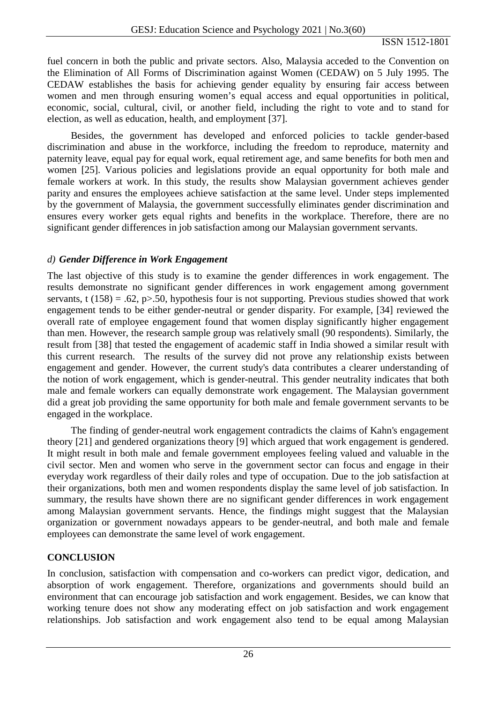fuel concern in both the public and private sectors. Also, Malaysia acceded to the Convention on the Elimination of All Forms of Discrimination against Women (CEDAW) on 5 July 1995. The CEDAW establishes the basis for achieving gender equality by ensuring fair access between women and men through ensuring women's equal access and equal opportunities in political, economic, social, cultural, civil, or another field, including the right to vote and to stand for election, as well as education, health, and employment [37].

Besides, the government has developed and enforced policies to tackle gender-based discrimination and abuse in the workforce, including the freedom to reproduce, maternity and paternity leave, equal pay for equal work, equal retirement age, and same benefits for both men and women [25]. Various policies and legislations provide an equal opportunity for both male and female workers at work. In this study, the results show Malaysian government achieves gender parity and ensures the employees achieve satisfaction at the same level. Under steps implemented by the government of Malaysia, the government successfully eliminates gender discrimination and ensures every worker gets equal rights and benefits in the workplace. Therefore, there are no significant gender differences in job satisfaction among our Malaysian government servants.

## *d) Gender Difference in Work Engagement*

The last objective of this study is to examine the gender differences in work engagement. The results demonstrate no significant gender differences in work engagement among government servants, t (158) = .62, p>.50, hypothesis four is not supporting. Previous studies showed that work engagement tends to be either gender-neutral or gender disparity. For example, [34] reviewed the overall rate of employee engagement found that women display significantly higher engagement than men. However, the research sample group was relatively small (90 respondents). Similarly, the result from [38] that tested the engagement of academic staff in India showed a similar result with this current research. The results of the survey did not prove any relationship exists between engagement and gender. However, the current study's data contributes a clearer understanding of the notion of work engagement, which is gender-neutral. This gender neutrality indicates that both male and female workers can equally demonstrate work engagement. The Malaysian government did a great job providing the same opportunity for both male and female government servants to be engaged in the workplace.

The finding of gender-neutral work engagement contradicts the claims of Kahn's engagement theory [21] and gendered organizations theory [9] which argued that work engagement is gendered. It might result in both male and female government employees feeling valued and valuable in the civil sector. Men and women who serve in the government sector can focus and engage in their everyday work regardless of their daily roles and type of occupation. Due to the job satisfaction at their organizations, both men and women respondents display the same level of job satisfaction. In summary, the results have shown there are no significant gender differences in work engagement among Malaysian government servants. Hence, the findings might suggest that the Malaysian organization or government nowadays appears to be gender-neutral, and both male and female employees can demonstrate the same level of work engagement.

## **CONCLUSION**

In conclusion, satisfaction with compensation and co-workers can predict vigor, dedication, and absorption of work engagement. Therefore, organizations and governments should build an environment that can encourage job satisfaction and work engagement. Besides, we can know that working tenure does not show any moderating effect on job satisfaction and work engagement relationships. Job satisfaction and work engagement also tend to be equal among Malaysian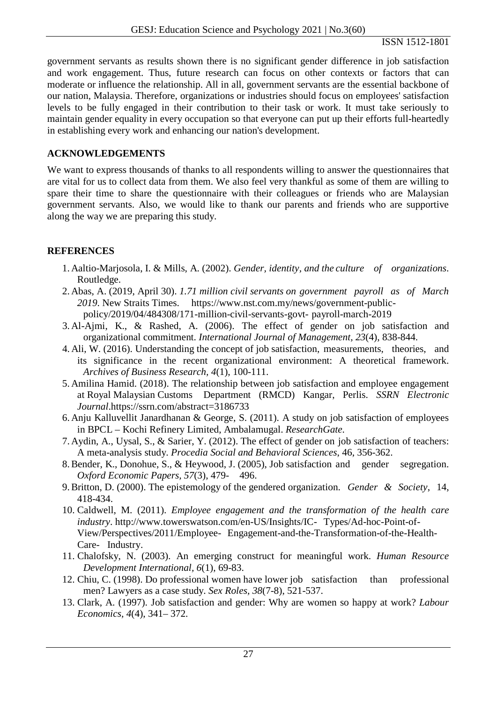government servants as results shown there is no significant gender difference in job satisfaction and work engagement. Thus, future research can focus on other contexts or factors that can moderate or influence the relationship. All in all, government servants are the essential backbone of our nation, Malaysia. Therefore, organizations or industries should focus on employees' satisfaction levels to be fully engaged in their contribution to their task or work. It must take seriously to maintain gender equality in every occupation so that everyone can put up their efforts full-heartedly in establishing every work and enhancing our nation's development.

# **ACKNOWLEDGEMENTS**

We want to express thousands of thanks to all respondents willing to answer the questionnaires that are vital for us to collect data from them. We also feel very thankful as some of them are willing to spare their time to share the questionnaire with their colleagues or friends who are Malaysian government servants. Also, we would like to thank our parents and friends who are supportive along the way we are preparing this study.

# **REFERENCES**

- 1. Aaltio-Marjosola, I. & Mills, A. (2002). *Gender, identity, and the culture of organizations*. Routledge.
- 2. Abas, A. (2019, April 30). *1.71 million civil servants on government payroll as of March 2019*. New Straits Times. https://www.nst.com.my/news/government-publicpolicy/2019/04/484308/171-million-civil-servants-govt- payroll-march-2019
- 3. Al-Ajmi, K., & Rashed, A. (2006). The effect of gender on job satisfaction and organizational commitment. *International Journal of Management, 23*(4), 838-844.
- 4. Ali, W. (2016). Understanding the concept of job satisfaction, measurements, theories, and its significance in the recent organizational environment: A theoretical framework. *Archives of Business Research, 4*(1), 100-111.
- 5. Amilina Hamid. (2018). The relationship between job satisfaction and employee engagement at Royal Malaysian Customs Department (RMCD) Kangar, Perlis. *SSRN Electronic Journal*.https://ssrn.com/abstract=3186733
- 6. Anju Kalluvellit Janardhanan & George, S. (2011). A study on job satisfaction of employees in BPCL – Kochi Refinery Limited, Ambalamugal. *ResearchGate.*
- 7. Aydin, A., Uysal, S., & Sarier, Y. (2012). The effect of gender on job satisfaction of teachers: A meta-analysis study. *Procedia Social and Behavioral Sciences*, 46, 356-362.
- 8.Bender, K., Donohue, S., & Heywood, J. (2005), Job satisfaction and gender segregation. *Oxford Economic Papers, 57*(3), 479- 496.
- 9.Britton, D. (2000). The epistemology of the gendered organization. *Gender & Society*, 14, 418-434.
- 10. Caldwell, M. (2011). *Employee engagement and the transformation of the health care industry*. http://www.towerswatson.com/en-US/Insights/IC- Types/Ad-hoc-Point-of-View/Perspectives/2011/Employee- Engagement-and-the-Transformation-of-the-Health-Care- Industry.
- 11. Chalofsky, N. (2003). An emerging construct for meaningful work. *Human Resource Development International, 6*(1), 69-83.
- 12. Chiu, C. (1998). Do professional women have lower job satisfaction than professional men? Lawyers as a case study. *Sex Roles, 38*(7-8), 521-537.
- 13. Clark, A. (1997). Job satisfaction and gender: Why are women so happy at work? *Labour Economics, 4*(4), 341– 372.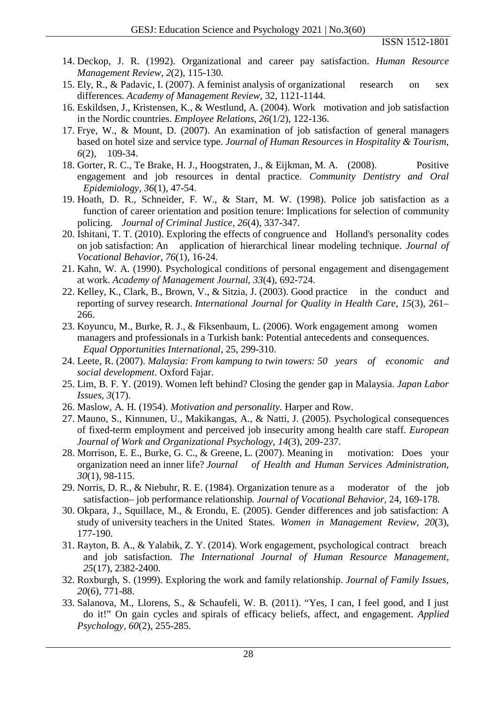- 14. Deckop, J. R. (1992). Organizational and career pay satisfaction. *Human Resource Management Review, 2*(2), 115-130.
- 15. Ely, R., & Padavic, I. (2007). A feminist analysis of organizational research on sex differences. *Academy of Management Review*, 32, 1121-1144.
- 16. Eskildsen, J., Kristensen, K., & Westlund, A. (2004). Work motivation and job satisfaction in the Nordic countries. *Employee Relations, 26*(1/2), 122-136.
- 17. Frye, W., & Mount, D. (2007). An examination of job satisfaction of general managers based on hotel size and service type. *Journal of Human Resources in Hospitality & Tourism, 6*(2), 109-34.
- 18. Gorter, R. C., Te Brake, H. J., Hoogstraten, J., & Eijkman, M. A. (2008). Positive engagement and job resources in dental practice. *Community Dentistry and Oral Epidemiology, 36*(1), 47-54.
- 19. Hoath, D. R., Schneider, F. W., & Starr, M. W. (1998). Police job satisfaction as a function of career orientation and position tenure: Implications for selection of community policing. *Journal of Criminal Justice, 26*(4), 337-347.
- 20. Ishitani, T. T. (2010). Exploring the effects of congruence and Holland's personality codes on job satisfaction: An application of hierarchical linear modeling technique. *Journal of Vocational Behavior, 76*(1), 16-24.
- 21. Kahn, W. A. (1990). Psychological conditions of personal engagement and disengagement at work. *Academy of Management Journal, 33*(4), 692-724.
- 22. Kelley, K., Clark, B., Brown, V., & Sitzia, J. (2003). Good practice in the conduct and reporting of survey research. *International Journal for Quality in Health Care*, *15*(3), 261– 266.
- 23. Koyuncu, M., Burke, R. J., & Fiksenbaum, L. (2006). Work engagement among women managers and professionals in a Turkish bank: Potential antecedents and consequences. *Equal Opportunities International*, 25, 299-310.
- 24. Leete, R. (2007). *Malaysia: From kampung to twin towers: 50 years of economic and social development*. Oxford Fajar.
- 25. Lim, B. F. Y. (2019). Women left behind? Closing the gender gap in Malaysia. *Japan Labor Issues, 3*(17).
- 26. Maslow, A. H. (1954). *Motivation and personality.* Harper and Row.
- 27. Mauno, S., Kinnunen, U., Makikangas, A., & Natti, J. (2005). Psychological consequences of fixed-term employment and perceived job insecurity among health care staff. *European Journal of Work and Organizational Psychology, 14*(3), 209-237.
- 28. Morrison, E. E., Burke, G. C., & Greene, L. (2007). Meaning in motivation: Does your organization need an inner life? *Journal of Health and Human Services Administration, 30*(1), 98-115.
- 29. Norris, D. R., & Niebuhr, R. E. (1984). Organization tenure as a moderator of the job satisfaction– job performance relationship. *Journal of Vocational Behavior,* 24, 169-178*.*
- 30. Okpara, J., Squillace, M., & Erondu, E. (2005). Gender differences and job satisfaction: A study of university teachers in the United States. *Women in Management Review, 20*(3), 177-190.
- 31. Rayton, B. A., & Yalabik, Z. Y. (2014). Work engagement, psychological contract breach and job satisfaction. *The International Journal of Human Resource Management, 25*(17), 2382-2400*.*
- 32. Roxburgh, S. (1999). Exploring the work and family relationship. *Journal of Family Issues, 20*(6), 771-88.
- 33. Salanova, M., Llorens, S., & Schaufeli, W. B. (2011). "Yes, I can, I feel good, and I just do it!" On gain cycles and spirals of efficacy beliefs, affect, and engagement. *Applied Psychology, 60*(2), 255-285.